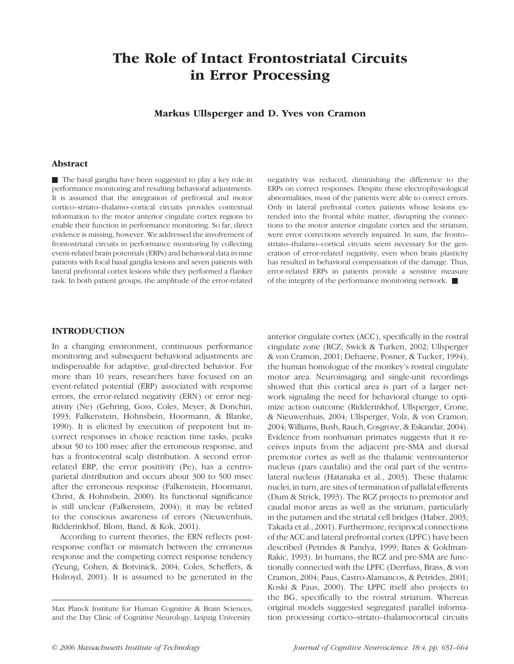# The Role of Intact Frontostriatal Circuits in Error Processing

Markus Ullsperger and D. Yves von Cramon

# Abstract

The basal ganglia have been suggested to play a key role in performance monitoring and resulting behavioral adjustments. It is assumed that the integration of prefrontal and motor cortico–striato–thalamo–cortical circuits provides contextual information to the motor anterior cingulate cortex regions to enable their function in performance monitoring. So far, direct evidence is missing, however. We addressed the involvement of frontostriatal circuits in performance monitoring by collecting event-related brain potentials (ERPs) and behavioral data in nine patients with focal basal ganglia lesions and seven patients with lateral prefrontal cortex lesions while they performed a flanker task. In both patient groups, the amplitude of the error-related

negativity was reduced, diminishing the difference to the ERPs on correct responses. Despite these electrophysiological abnormalities, most of the patients were able to correct errors. Only in lateral prefrontal cortex patients whose lesions extended into the frontal white matter, disrupting the connections to the motor anterior cingulate cortex and the striatum, were error corrections severely impaired. In sum, the fronto– striato–thalamo–cortical circuits seem necessary for the generation of error-related negativity, even when brain plasticity has resulted in behavioral compensation of the damage. Thus, error-related ERPs in patients provide a sensitive measure of the integrity of the performance monitoring network.  $\blacksquare$ 

# INTRODUCTION

In a changing environment, continuous performance monitoring and subsequent behavioral adjustments are indispensable for adaptive, goal-directed behavior. For more than 10 years, researchers have focused on an event-related potential (ERP) associated with response errors, the error-related negativity (ERN) or error negativity (Ne) (Gehring, Goss, Coles, Meyer, & Donchin, 1993; Falkenstein, Hohnsbein, Hoormann, & Blanke, 1990). It is elicited by execution of prepotent but incorrect responses in choice reaction time tasks, peaks about 50 to 100 msec after the erroneous response, and has a frontocentral scalp distribution. A second errorrelated ERP, the error positivity (Pe), has a centroparietal distribution and occurs about 300 to 500 msec after the erroneous response (Falkenstein, Hoormann, Christ, & Hohnsbein, 2000). Its functional significance is still unclear (Falkenstein, 2004); it may be related to the conscious awareness of errors (Nieuwenhuis, Ridderinkhof, Blom, Band, & Kok, 2001).

According to current theories, the ERN reflects postresponse conflict or mismatch between the erroneous response and the competing correct response tendency (Yeung, Cohen, & Botvinick, 2004; Coles, Scheffers, & Holroyd, 2001). It is assumed to be generated in the

anterior cingulate cortex (ACC), specifically in the rostral cingulate zone (RCZ; Swick & Turken, 2002; Ullsperger & von Cramon, 2001; Dehaene, Posner, & Tucker, 1994), the human homologue of the monkey's rostral cingulate motor area. Neuroimaging and single-unit recordings showed that this cortical area is part of a larger network signaling the need for behavioral change to optimize action outcome (Ridderinkhof, Ullsperger, Crone, & Nieuwenhuis, 2004; Ullsperger, Volz, & von Cramon, 2004; Williams, Bush, Rauch, Cosgrove, & Eskandar, 2004). Evidence from nonhuman primates suggests that it receives inputs from the adjacent pre-SMA and dorsal premotor cortex as well as the thalamic ventroanterior nucleus (pars caudalis) and the oral part of the ventrolateral nucleus (Hatanaka et al., 2003). These thalamic nuclei, in turn, are sites of termination of pallidal efferents (Dum & Strick, 1993). The RCZ projects to premotor and caudal motor areas as well as the striatum, particularly in the putamen and the striatal cell bridges (Haber, 2003; Takada et al., 2001). Furthermore, reciprocal connections of the ACC and lateral prefrontal cortex (LPFC) have been described (Petrides & Pandya, 1999; Bates & Goldman-Rakic, 1993). In humans, the RCZ and pre-SMA are functionally connected with the LPFC (Derrfuss, Brass, & von Cramon, 2004; Paus, Castro-Alamancos, & Petrides, 2001; Koski & Paus, 2000). The LPFC itself also projects to the BG, specifically to the rostral striatum. Whereas original models suggested segregated parallel information processing cortico–striato–thalamocortical circuits

Max Planck Institute for Human Cognitive & Brain Sciences, and the Day Clinic of Cognitive Neurology, Leipzig University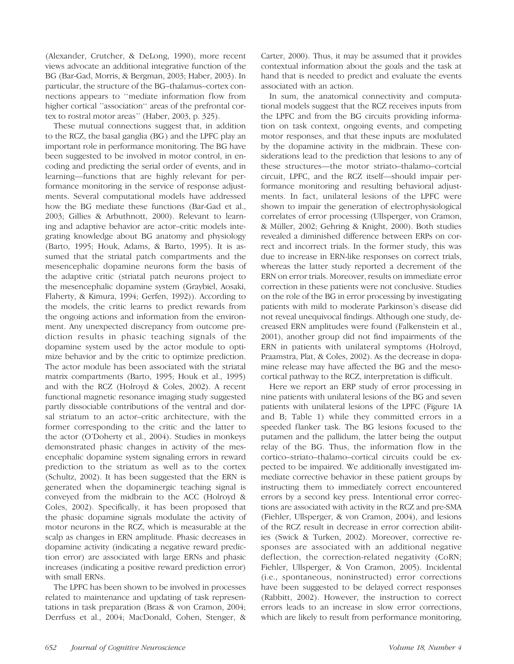(Alexander, Crutcher, & DeLong, 1990), more recent views advocate an additional integrative function of the BG (Bar-Gad, Morris, & Bergman, 2003; Haber, 2003). In particular, the structure of the BG–thalamus–cortex connections appears to ''mediate information flow from higher cortical ''association'' areas of the prefrontal cortex to rostral motor areas'' (Haber, 2003, p. 325).

These mutual connections suggest that, in addition to the RCZ, the basal ganglia (BG) and the LPFC play an important role in performance monitoring. The BG have been suggested to be involved in motor control, in encoding and predicting the serial order of events, and in learning—functions that are highly relevant for performance monitoring in the service of response adjustments. Several computational models have addressed how the BG mediate these functions (Bar-Gad et al., 2003; Gillies & Arbuthnott, 2000). Relevant to learning and adaptive behavior are actor–critic models integrating knowledge about BG anatomy and physiology (Barto, 1995; Houk, Adams, & Barto, 1995). It is assumed that the striatal patch compartments and the mesencephalic dopamine neurons form the basis of the adaptive critic (striatal patch neurons project to the mesencephalic dopamine system (Graybiel, Aosaki, Flaherty, & Kimura, 1994; Gerfen, 1992)). According to the models, the critic learns to predict rewards from the ongoing actions and information from the environment. Any unexpected discrepancy from outcome prediction results in phasic teaching signals of the dopamine system used by the actor module to optimize behavior and by the critic to optimize prediction. The actor module has been associated with the striatal matrix compartments (Barto, 1995; Houk et al., 1995) and with the RCZ (Holroyd & Coles, 2002). A recent functional magnetic resonance imaging study suggested partly dissociable contributions of the ventral and dorsal striatum to an actor–critic architecture, with the former corresponding to the critic and the latter to the actor (O'Doherty et al., 2004). Studies in monkeys demonstrated phasic changes in activity of the mesencephalic dopamine system signaling errors in reward prediction to the striatum as well as to the cortex (Schultz, 2002). It has been suggested that the ERN is generated when the dopaminergic teaching signal is conveyed from the midbrain to the ACC (Holroyd & Coles, 2002). Specifically, it has been proposed that the phasic dopamine signals modulate the activity of motor neurons in the RCZ, which is measurable at the scalp as changes in ERN amplitude. Phasic decreases in dopamine activity (indicating a negative reward prediction error) are associated with large ERNs and phasic increases (indicating a positive reward prediction error) with small ERNs.

The LPFC has been shown to be involved in processes related to maintenance and updating of task representations in task preparation (Brass & von Cramon, 2004; Derrfuss et al., 2004; MacDonald, Cohen, Stenger, &

Carter, 2000). Thus, it may be assumed that it provides contextual information about the goals and the task at hand that is needed to predict and evaluate the events associated with an action.

In sum, the anatomical connectivity and computational models suggest that the RCZ receives inputs from the LPFC and from the BG circuits providing information on task context, ongoing events, and competing motor responses, and that these inputs are modulated by the dopamine activity in the midbrain. These considerations lead to the prediction that lesions to any of these structures—the motor striato–thalamo–cortcial circuit, LPFC, and the RCZ itself—should impair performance monitoring and resulting behavioral adjustments. In fact, unilateral lesions of the LPFC were shown to impair the generation of electrophysiological correlates of error processing (Ullsperger, von Cramon, & Müller, 2002; Gehring & Knight, 2000). Both studies revealed a diminished difference between ERPs on correct and incorrect trials. In the former study, this was due to increase in ERN-like responses on correct trials, whereas the latter study reported a decrement of the ERN on error trials. Moreover, results on immediate error correction in these patients were not conclusive. Studies on the role of the BG in error processing by investigating patients with mild to moderate Parkinson's disease did not reveal unequivocal findings. Although one study, decreased ERN amplitudes were found (Falkenstein et al., 2001), another group did not find impairments of the ERN in patients with unilateral symptoms (Holroyd, Praamstra, Plat, & Coles, 2002). As the decrease in dopamine release may have affected the BG and the mesocortical pathway to the RCZ, interpretation is difficult.

Here we report an ERP study of error processing in nine patients with unilateral lesions of the BG and seven patients with unilateral lesions of the LPFC (Figure 1A and B; Table 1) while they committed errors in a speeded flanker task. The BG lesions focused to the putamen and the pallidum, the latter being the output relay of the BG. Thus, the information flow in the cortico–striato–thalamo–cortical circuits could be expected to be impaired. We additionally investigated immediate corrective behavior in these patient groups by instructing them to immediately correct encountered errors by a second key press. Intentional error corrections are associated with activity in the RCZ and pre-SMA (Fiehler, Ullsperger, & von Cramon, 2004), and lesions of the RCZ result in decrease in error correction abilities (Swick & Turken, 2002). Moreover, corrective responses are associated with an additional negative deflection, the correction-related negativity (CoRN; Fiehler, Ullsperger, & Von Cramon, 2005). Incidental (i.e., spontaneous, noninstructed) error corrections have been suggested to be delayed correct responses (Rabbitt, 2002). However, the instruction to correct errors leads to an increase in slow error corrections, which are likely to result from performance monitoring,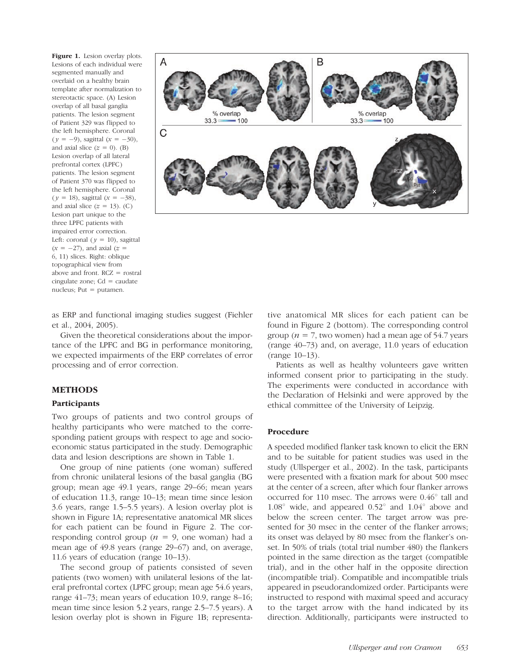Figure 1. Lesion overlay plots. Lesions of each individual were segmented manually and overlaid on a healthy brain template after normalization to stereotactic space. (A) Lesion overlap of all basal ganglia patients. The lesion segment of Patient 329 was flipped to the left hemisphere. Coronal  $(y = -9)$ , sagittal  $(x = -30)$ , and axial slice  $(z = 0)$ . (B) Lesion overlap of all lateral prefrontal cortex (LPFC) patients. The lesion segment of Patient 370 was flipped to the left hemisphere. Coronal  $(y = 18)$ , sagittal  $(x = -38)$ , and axial slice  $(z = 13)$ . (C) Lesion part unique to the three LPFC patients with impaired error correction. Left: coronal ( $y = 10$ ), sagittal  $(x = -27)$ , and axial  $(z =$ 6, 11) slices. Right: oblique topographical view from above and front. RCZ = rostral cingulate zone;  $Cd = \text{caudate}$ nucleus; Put  $=$  putamen.



as ERP and functional imaging studies suggest (Fiehler et al., 2004, 2005).

Given the theoretical considerations about the importance of the LPFC and BG in performance monitoring, we expected impairments of the ERP correlates of error processing and of error correction.

# METHODS

## Participants

Two groups of patients and two control groups of healthy participants who were matched to the corresponding patient groups with respect to age and socioeconomic status participated in the study. Demographic data and lesion descriptions are shown in Table 1.

One group of nine patients (one woman) suffered from chronic unilateral lesions of the basal ganglia (BG group; mean age 49.1 years, range 29–66; mean years of education 11.3, range 10–13; mean time since lesion 3.6 years, range 1.5–5.5 years). A lesion overlay plot is shown in Figure 1A; representative anatomical MR slices for each patient can be found in Figure 2. The corresponding control group ( $n = 9$ , one woman) had a mean age of 49.8 years (range 29–67) and, on average, 11.6 years of education (range 10–13).

The second group of patients consisted of seven patients (two women) with unilateral lesions of the lateral prefrontal cortex (LPFC group; mean age 54.6 years, range 41–73; mean years of education 10.9, range 8–16; mean time since lesion 5.2 years, range 2.5–7.5 years). A lesion overlay plot is shown in Figure 1B; representative anatomical MR slices for each patient can be found in Figure 2 (bottom). The corresponding control group ( $n = 7$ , two women) had a mean age of 54.7 years (range 40–73) and, on average, 11.0 years of education (range 10–13).

Patients as well as healthy volunteers gave written informed consent prior to participating in the study. The experiments were conducted in accordance with the Declaration of Helsinki and were approved by the ethical committee of the University of Leipzig.

# Procedure

A speeded modified flanker task known to elicit the ERN and to be suitable for patient studies was used in the study (Ullsperger et al., 2002). In the task, participants were presented with a fixation mark for about 500 msec at the center of a screen, after which four flanker arrows occurred for 110 msec. The arrows were  $0.46^{\circ}$  tall and  $1.08^{\circ}$  wide, and appeared  $0.52^{\circ}$  and  $1.04^{\circ}$  above and below the screen center. The target arrow was presented for 30 msec in the center of the flanker arrows; its onset was delayed by 80 msec from the flanker's onset. In 50% of trials (total trial number 480) the flankers pointed in the same direction as the target (compatible trial), and in the other half in the opposite direction (incompatible trial). Compatible and incompatible trials appeared in pseudorandomized order. Participants were instructed to respond with maximal speed and accuracy to the target arrow with the hand indicated by its direction. Additionally, participants were instructed to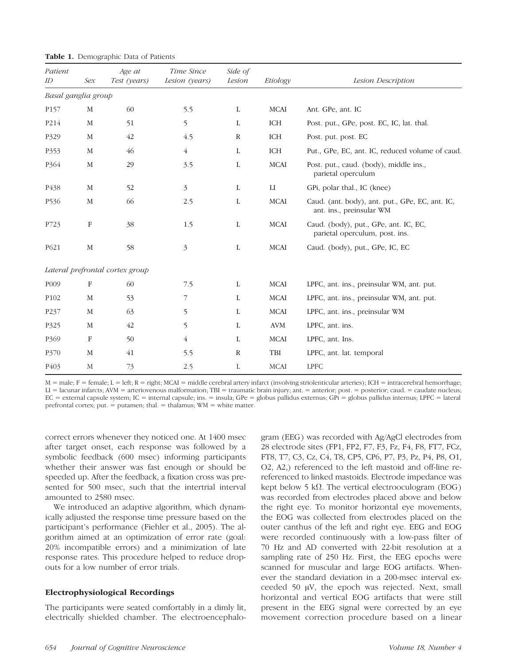| Patient<br>ID       | Sex          | Age at<br>Test (years)          | Time Since<br>Lesion (years) | Side of<br>Lesion | Etiology               | Lesion Description                                                          |  |
|---------------------|--------------|---------------------------------|------------------------------|-------------------|------------------------|-----------------------------------------------------------------------------|--|
| Basal ganglia group |              |                                 |                              |                   |                        |                                                                             |  |
| P <sub>157</sub>    | M            | 60                              | 5.5                          | $\mathbf L$       | MCAI                   | Ant. GPe, ant. IC                                                           |  |
| P214                | M            | 51                              | 5                            | L                 | ICH                    | Post. put., GPe, post. EC, IC, lat. thal.                                   |  |
| P329                | M            | 42                              | 4.5                          | $\mathbb{R}$      | ICH                    | Post. put. post. EC                                                         |  |
| P353                | $\mathbf M$  | 46                              | $\overline{4}$               | L                 | ICH                    | Put., GPe, EC, ant. IC, reduced volume of caud.                             |  |
| P <sub>364</sub>    | $\mathbf M$  | 29                              | 3.5                          | L                 | $\rm MCAI$             | Post. put., caud. (body), middle ins.,<br>parietal operculum                |  |
| P <sub>4</sub> 38   | M            | 52                              | 3                            | L                 | $\mathop{\mathrm{LI}}$ | GPi, polar thal., IC (knee)                                                 |  |
| P536                | $\mathbf{M}$ | 66                              | 2.5                          | $\mathbf{L}$      | <b>MCAI</b>            | Caud. (ant. body), ant. put., GPe, EC, ant. IC,<br>ant. ins., preinsular WM |  |
| P723                | $\rm F$      | 38                              | 1.5                          | L                 | MCAI                   | Caud. (body), put., GPe, ant. IC, EC,<br>parietal operculum, post. ins.     |  |
| P621                | M            | 58                              | 3                            | L                 | MCAI                   | Caud. (body), put., GPe, IC, EC                                             |  |
|                     |              | Lateral prefrontal cortex group |                              |                   |                        |                                                                             |  |
| P <sub>009</sub>    | F            | 60                              | 7.5                          | L                 | MCAI                   | LPFC, ant. ins., preinsular WM, ant. put.                                   |  |
| P <sub>102</sub>    | M            | 53                              | 7                            | L                 | MCAI                   | LPFC, ant. ins., preinsular WM, ant. put.                                   |  |
| P237                | M            | 63                              | 5                            | L                 | <b>MCAI</b>            | LPFC, ant. ins., preinsular WM                                              |  |
| P325                | M            | 42                              | 5                            | L                 | <b>AVM</b>             | LPFC, ant. ins.                                                             |  |
| P <sub>369</sub>    | $\mathbf F$  | 50                              | $\overline{4}$               | L                 | <b>MCAI</b>            | LPFC, ant. Ins.                                                             |  |
| P370                | M            | 41                              | 5.5                          | $\mathbb{R}$      | TBI                    | LPFC, ant. lat. temporal                                                    |  |
| P <sub>40</sub> 3   | $\mathbf M$  | 73                              | 2.5                          | $\mathbf{L}$      | <b>MCAI</b>            | <b>LPFC</b>                                                                 |  |

**Table 1.** Demographic Data of Patients

 $M =$  male;  $F =$  female;  $L =$  left;  $R =$  right; MCAI = middle cerebral artery infarct (involving striolenticular arteries); ICH = intracerebral hemorrhage; LI = lacunar infarcts; AVM = arteriovenous malformation; TBI = traumatic brain injury; ant. = anterior; post. = posterior; caud. = caudate nucleus; EC = external capsule system; IC = internal capsule; ins. = insula; GPe = globus pallidus externus; GPi = globus pallidus internus; LPFC = lateral prefrontal cortex; put.  $=$  putamen; thal.  $=$  thalamus; WM  $=$  white matter.

correct errors whenever they noticed one. At 1400 msec after target onset, each response was followed by a symbolic feedback (600 msec) informing participants whether their answer was fast enough or should be speeded up. After the feedback, a fixation cross was presented for 500 msec, such that the intertrial interval amounted to 2580 msec.

We introduced an adaptive algorithm, which dynamically adjusted the response time pressure based on the participant's performance (Fiehler et al., 2005). The algorithm aimed at an optimization of error rate (goal: 20% incompatible errors) and a minimization of late response rates. This procedure helped to reduce dropouts for a low number of error trials.

#### Electrophysiological Recordings

The participants were seated comfortably in a dimly lit, electrically shielded chamber. The electroencephalo-

gram (EEG) was recorded with Ag/AgCl electrodes from 28 electrode sites (FP1, FP2, F7, F3, Fz, F4, F8, FT7, FCz, FT8, T7, C3, Cz, C4, T8, CP5, CP6, P7, P3, Pz, P4, P8, O1, O2, A2,) referenced to the left mastoid and off-line rereferenced to linked mastoids. Electrode impedance was kept below 5 k $\Omega$ . The vertical electrooculogram (EOG) was recorded from electrodes placed above and below the right eye. To monitor horizontal eye movements, the EOG was collected from electrodes placed on the outer canthus of the left and right eye. EEG and EOG were recorded continuously with a low-pass filter of 70 Hz and AD converted with 22-bit resolution at a sampling rate of 250 Hz. First, the EEG epochs were scanned for muscular and large EOG artifacts. Whenever the standard deviation in a 200-msec interval exceeded 50  $\mu$ V, the epoch was rejected. Next, small horizontal and vertical EOG artifacts that were still present in the EEG signal were corrected by an eye movement correction procedure based on a linear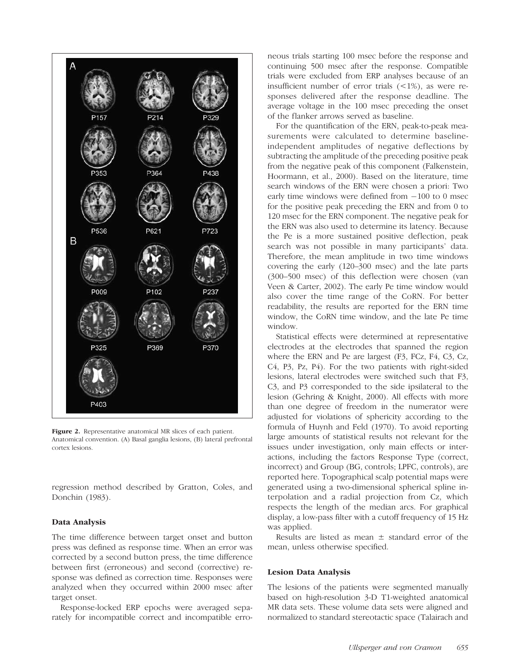

Figure 2. Representative anatomical MR slices of each patient. Anatomical convention. (A) Basal ganglia lesions, (B) lateral prefrontal cortex lesions.

regression method described by Gratton, Coles, and Donchin (1983).

#### Data Analysis

The time difference between target onset and button press was defined as response time. When an error was corrected by a second button press, the time difference between first (erroneous) and second (corrective) response was defined as correction time. Responses were analyzed when they occurred within 2000 msec after target onset.

Response-locked ERP epochs were averaged separately for incompatible correct and incompatible erroneous trials starting 100 msec before the response and continuing 500 msec after the response. Compatible trials were excluded from ERP analyses because of an insufficient number of error trials  $(\leq 1\%)$ , as were responses delivered after the response deadline. The average voltage in the 100 msec preceding the onset of the flanker arrows served as baseline.

For the quantification of the ERN, peak-to-peak measurements were calculated to determine baselineindependent amplitudes of negative deflections by subtracting the amplitude of the preceding positive peak from the negative peak of this component (Falkenstein, Hoormann, et al., 2000). Based on the literature, time search windows of the ERN were chosen a priori: Two early time windows were defined from  $-100$  to 0 msec for the positive peak preceding the ERN and from 0 to 120 msec for the ERN component. The negative peak for the ERN was also used to determine its latency. Because the Pe is a more sustained positive deflection, peak search was not possible in many participants' data. Therefore, the mean amplitude in two time windows covering the early (120–300 msec) and the late parts (300–500 msec) of this deflection were chosen (van Veen & Carter, 2002). The early Pe time window would also cover the time range of the CoRN. For better readability, the results are reported for the ERN time window, the CoRN time window, and the late Pe time window.

Statistical effects were determined at representative electrodes at the electrodes that spanned the region where the ERN and Pe are largest (F3, FCz, F4, C3, Cz, C4, P3, Pz, P4). For the two patients with right-sided lesions, lateral electrodes were switched such that F3, C3, and P3 corresponded to the side ipsilateral to the lesion (Gehring & Knight, 2000). All effects with more than one degree of freedom in the numerator were adjusted for violations of sphericity according to the formula of Huynh and Feld (1970). To avoid reporting large amounts of statistical results not relevant for the issues under investigation, only main effects or interactions, including the factors Response Type (correct, incorrect) and Group (BG, controls; LPFC, controls), are reported here. Topographical scalp potential maps were generated using a two-dimensional spherical spline interpolation and a radial projection from Cz, which respects the length of the median arcs. For graphical display, a low-pass filter with a cutoff frequency of 15 Hz was applied.

Results are listed as mean  $\pm$  standard error of the mean, unless otherwise specified.

# Lesion Data Analysis

The lesions of the patients were segmented manually based on high-resolution 3-D T1-weighted anatomical MR data sets. These volume data sets were aligned and normalized to standard stereotactic space (Talairach and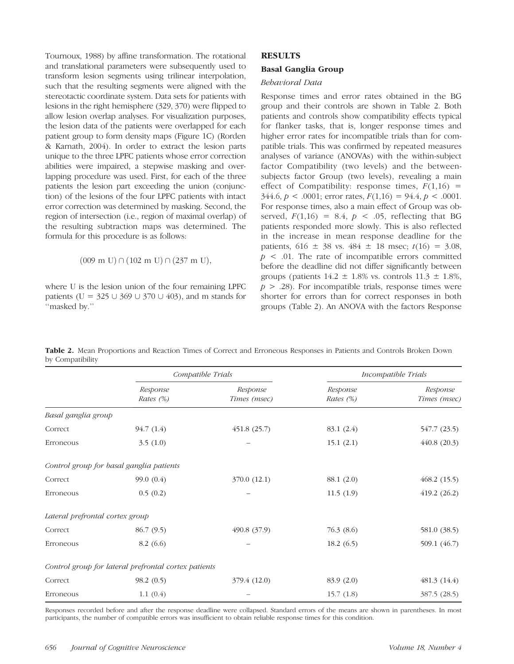Tournoux, 1988) by affine transformation. The rotational and translational parameters were subsequently used to transform lesion segments using trilinear interpolation, such that the resulting segments were aligned with the stereotactic coordinate system. Data sets for patients with lesions in the right hemisphere (329, 370) were flipped to allow lesion overlap analyses. For visualization purposes, the lesion data of the patients were overlapped for each patient group to form density maps (Figure 1C) (Rorden & Karnath, 2004). In order to extract the lesion parts unique to the three LPFC patients whose error correction abilities were impaired, a stepwise masking and overlapping procedure was used. First, for each of the three patients the lesion part exceeding the union (conjunction) of the lesions of the four LPFC patients with intact error correction was determined by masking. Second, the region of intersection (i.e., region of maximal overlap) of the resulting subtraction maps was determined. The formula for this procedure is as follows:

$$
(009 \text{ m U}) \cap (102 \text{ m U}) \cap (237 \text{ m U}),
$$

where U is the lesion union of the four remaining LPFC patients (U =  $325 \cup 369 \cup 370 \cup 403$ ), and m stands for ''masked by.''

# **RESULTS**

# Basal Ganglia Group

# Behavioral Data

Response times and error rates obtained in the BG group and their controls are shown in Table 2. Both patients and controls show compatibility effects typical for flanker tasks, that is, longer response times and higher error rates for incompatible trials than for compatible trials. This was confirmed by repeated measures analyses of variance (ANOVAs) with the within-subject factor Compatibility (two levels) and the betweensubjects factor Group (two levels), revealing a main effect of Compatibility: response times,  $F(1,16)$  =  $344.6, p < .0001$ ; error rates,  $F(1,16) = 94.4, p < .0001$ . For response times, also a main effect of Group was observed,  $F(1,16) = 8.4$ ,  $p < .05$ , reflecting that BG patients responded more slowly. This is also reflected in the increase in mean response deadline for the patients,  $616 \pm 38$  vs.  $484 \pm 18$  msec;  $t(16) = 3.08$ ,  $p \leq 0.01$ . The rate of incompatible errors committed before the deadline did not differ significantly between groups (patients  $14.2 \pm 1.8\%$  vs. controls  $11.3 \pm 1.8\%$ ,  $p > .28$ ). For incompatible trials, response times were shorter for errors than for correct responses in both groups (Table 2). An ANOVA with the factors Response

|                                 |                                                      | Compatible Trials        | Incompatible Trials      |                          |
|---------------------------------|------------------------------------------------------|--------------------------|--------------------------|--------------------------|
|                                 | Response<br>Rates (%)                                | Response<br>Times (msec) | Response<br>Rates $(\%)$ | Response<br>Times (msec) |
| Basal ganglia group             |                                                      |                          |                          |                          |
| Correct                         | 94.7(1.4)                                            | 451.8(25.7)              | 83.1 (2.4)               | 547.7 (23.5)             |
| Erroneous                       | 3.5(1.0)                                             |                          | 15.1(2.1)                | 440.8 (20.3)             |
|                                 | Control group for basal ganglia patients             |                          |                          |                          |
| Correct                         | 99.0(0.4)                                            | 370.0 (12.1)             | 88.1 (2.0)               | 468.2(15.5)              |
| Erroneous                       | 0.5(0.2)                                             |                          | 11.5(1.9)                | 419.2(26.2)              |
| Lateral prefrontal cortex group |                                                      |                          |                          |                          |
| Correct                         | 86.7 (9.5)                                           | 490.8 (37.9)             | 76.3 (8.6)               | 581.0 (38.5)             |
| Erroneous                       | 8.2(6.6)                                             |                          | 18.2(6.5)                | 509.1 (46.7)             |
|                                 | Control group for lateral prefrontal cortex patients |                          |                          |                          |
| Correct                         | 98.2(0.5)                                            | 379.4 (12.0)             | 83.9 (2.0)               | 481.3(14.4)              |
| Erroneous                       | 1.1(0.4)                                             |                          | 15.7(1.8)                | 387.5 (28.5)             |

Table 2. Mean Proportions and Reaction Times of Correct and Erroneous Responses in Patients and Controls Broken Down by Compatibility

Responses recorded before and after the response deadline were collapsed. Standard errors of the means are shown in parentheses. In most participants, the number of compatible errors was insufficient to obtain reliable response times for this condition.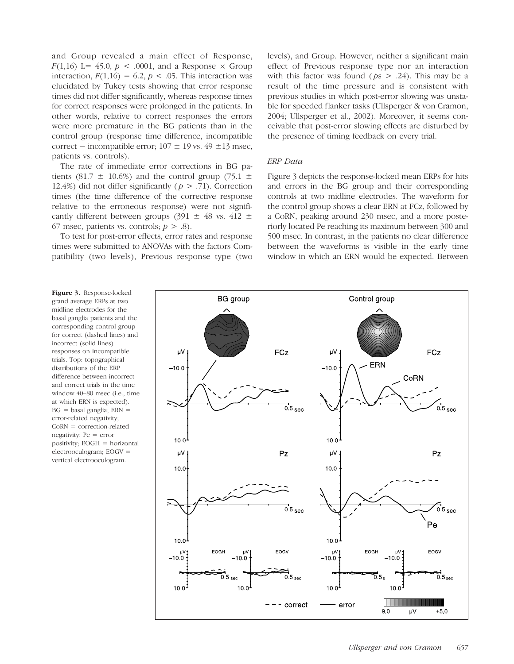and Group revealed a main effect of Response,  $F(1,16)$  L= 45.0,  $p < .0001$ , and a Response  $\times$  Group interaction,  $F(1,16) = 6.2$ ,  $p < .05$ . This interaction was elucidated by Tukey tests showing that error response times did not differ significantly, whereas response times for correct responses were prolonged in the patients. In other words, relative to correct responses the errors were more premature in the BG patients than in the control group (response time difference, incompatible correct – incompatible error;  $107 \pm 19$  vs.  $49 \pm 13$  msec, patients vs. controls).

The rate of immediate error corrections in BG patients (81.7  $\pm$  10.6%) and the control group (75.1  $\pm$ 12.4%) did not differ significantly ( $p > .71$ ). Correction times (the time difference of the corrective response relative to the erroneous response) were not significantly different between groups (391  $\pm$  48 vs. 412  $\pm$ 67 msec, patients vs. controls;  $p > .8$ ).

To test for post-error effects, error rates and response times were submitted to ANOVAs with the factors Compatibility (two levels), Previous response type (two levels), and Group. However, neither a significant main effect of Previous response type nor an interaction with this factor was found ( $ps > .24$ ). This may be a result of the time pressure and is consistent with previous studies in which post-error slowing was unstable for speeded flanker tasks (Ullsperger & von Cramon, 2004; Ullsperger et al., 2002). Moreover, it seems conceivable that post-error slowing effects are disturbed by the presence of timing feedback on every trial.

# ERP Data

Figure 3 depicts the response-locked mean ERPs for hits and errors in the BG group and their corresponding controls at two midline electrodes. The waveform for the control group shows a clear ERN at FCz, followed by a CoRN, peaking around 230 msec, and a more posteriorly located Pe reaching its maximum between 300 and 500 msec. In contrast, in the patients no clear difference between the waveforms is visible in the early time window in which an ERN would be expected. Between

Figure 3. Response-locked grand average ERPs at two midline electrodes for the basal ganglia patients and the corresponding control group for correct (dashed lines) and incorrect (solid lines) responses on incompatible trials. Top: topographical distributions of the ERP difference between incorrect and correct trials in the time window 40–80 msec (i.e., time at which ERN is expected).  $BG = basal$  ganglia;  $ERN =$ error-related negativity; CoRN = correction-related negativity; Pe = error positivity; EOGH = horizontal electrooculogram; EOGV = vertical electrooculogram.

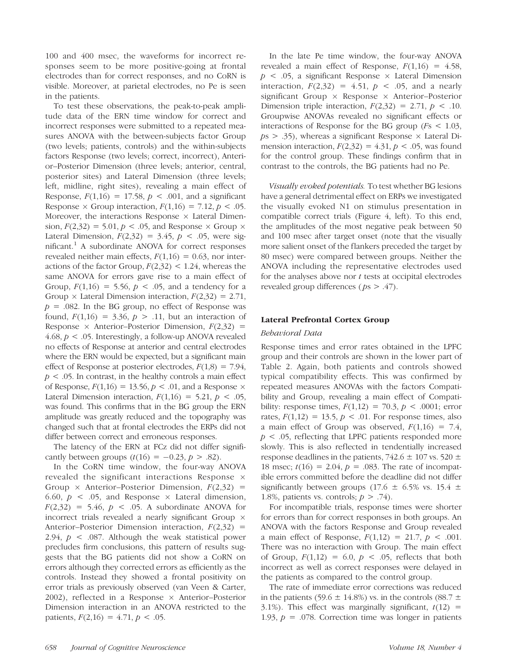100 and 400 msec, the waveforms for incorrect responses seem to be more positive-going at frontal electrodes than for correct responses, and no CoRN is visible. Moreover, at parietal electrodes, no Pe is seen in the patients.

To test these observations, the peak-to-peak amplitude data of the ERN time window for correct and incorrect responses were submitted to a repeated measures ANOVA with the between-subjects factor Group (two levels; patients, controls) and the within-subjects factors Response (two levels; correct, incorrect), Anterior–Posterior Dimension (three levels; anterior, central, posterior sites) and Lateral Dimension (three levels; left, midline, right sites), revealing a main effect of Response,  $F(1,16) = 17.58$ ,  $p < .001$ , and a significant Response  $\times$  Group interaction,  $F(1,16) = 7.12$ ,  $p < .05$ . Moreover, the interactions Response  $\times$  Lateral Dimension,  $F(2,32) = 5.01$ ,  $p < .05$ , and Response  $\times$  Group  $\times$ Lateral Dimension,  $F(2,32) = 3.45$ ,  $p < .05$ , were significant.<sup>1</sup> A subordinate ANOVA for correct responses revealed neither main effects,  $F(1,16) = 0.63$ , nor interactions of the factor Group,  $F(2,32)$  < 1.24, whereas the same ANOVA for errors gave rise to a main effect of Group,  $F(1,16) = 5.56, p < .05$ , and a tendency for a Group  $\times$  Lateral Dimension interaction,  $F(2,32) = 2.71$ ,  $p = 0.082$ . In the BG group, no effect of Response was found,  $F(1,16) = 3.36, p > .11$ , but an interaction of Response  $\times$  Anterior–Posterior Dimension,  $F(2,32)$  = 4.68,  $p < 0.05$ . Interestingly, a follow-up ANOVA revealed no effects of Response at anterior and central electrodes where the ERN would be expected, but a significant main effect of Response at posterior electrodes,  $F(1,8) = 7.94$ ,  $p < .05$ . In contrast, in the healthy controls a main effect of Response,  $F(1,16) = 13.56, p < .01$ , and a Response  $\times$ Lateral Dimension interaction,  $F(1,16) = 5.21$ ,  $p < .05$ , was found. This confirms that in the BG group the ERN amplitude was greatly reduced and the topography was changed such that at frontal electrodes the ERPs did not differ between correct and erroneous responses.

The latency of the ERN at FCz did not differ significantly between groups  $(t(16) = -0.23, p > .82)$ .

In the CoRN time window, the four-way ANOVA revealed the significant interactions Response Group  $\times$  Anterior–Posterior Dimension,  $F(2,32)$  = 6.60,  $p \leq 0.05$ , and Response  $\times$  Lateral dimension,  $F(2,32) = 5.46, p \le .05$ . A subordinate ANOVA for incorrect trials revealed a nearly significant Group  $\times$ Anterior–Posterior Dimension interaction,  $F(2,32)$  = 2.94,  $p \lt 0.087$ . Although the weak statistical power precludes firm conclusions, this pattern of results suggests that the BG patients did not show a CoRN on errors although they corrected errors as efficiently as the controls. Instead they showed a frontal positivity on error trials as previously observed (van Veen & Carter, 2002), reflected in a Response  $\times$  Anterior–Posterior Dimension interaction in an ANOVA restricted to the patients,  $F(2,16) = 4.71, p < .05$ .

In the late Pe time window, the four-way ANOVA revealed a main effect of Response,  $F(1,16) = 4.58$ ,  $p \leq 0.05$ , a significant Response  $\times$  Lateral Dimension interaction,  $F(2,32) = 4.51$ ,  $p < .05$ , and a nearly significant Group  $\times$  Response  $\times$  Anterior–Posterior Dimension triple interaction,  $F(2,32) = 2.71$ ,  $p < .10$ . Groupwise ANOVAs revealed no significant effects or interactions of Response for the BG group ( $Fs < 1.03$ ,  $ps > .35$ ), whereas a significant Response  $\times$  Lateral Dimension interaction,  $F(2,32) = 4.31$ ,  $p < .05$ , was found for the control group. These findings confirm that in contrast to the controls, the BG patients had no Pe.

Visually evoked potentials. To test whether BG lesions have a general detrimental effect on ERPs we investigated the visually evoked N1 on stimulus presentation in compatible correct trials (Figure 4, left). To this end, the amplitudes of the most negative peak between 50 and 100 msec after target onset (note that the visually more salient onset of the flankers preceded the target by 80 msec) were compared between groups. Neither the ANOVA including the representative electrodes used for the analyses above nor  $t$  tests at occipital electrodes revealed group differences ( $ps > .47$ ).

# Lateral Prefrontal Cortex Group

#### Behavioral Data

Response times and error rates obtained in the LPFC group and their controls are shown in the lower part of Table 2. Again, both patients and controls showed typical compatibility effects. This was confirmed by repeated measures ANOVAs with the factors Compatibility and Group, revealing a main effect of Compatibility: response times,  $F(1,12) = 70.3$ ,  $p < .0001$ ; error rates,  $F(1,12) = 13.5, p < .01$ . For response times, also a main effect of Group was observed,  $F(1,16) = 7.4$ ,  $p < .05$ , reflecting that LPFC patients responded more slowly. This is also reflected in tendentially increased response deadlines in the patients,  $742.6 \pm 107$  vs.  $520 \pm 107$ 18 msec;  $t(16) = 2.04$ ,  $p = .083$ . The rate of incompatible errors committed before the deadline did not differ significantly between groups (17.6  $\pm$  6.5% vs. 15.4  $\pm$ 1.8%, patients vs. controls;  $p > .74$ ).

For incompatible trials, response times were shorter for errors than for correct responses in both groups. An ANOVA with the factors Response and Group revealed a main effect of Response,  $F(1,12) = 21.7, p < .001$ . There was no interaction with Group. The main effect of Group,  $F(1,12) = 6.0$ ,  $p < .05$ , reflects that both incorrect as well as correct responses were delayed in the patients as compared to the control group.

The rate of immediate error corrections was reduced in the patients (59.6  $\pm$  14.8%) vs. in the controls (88.7  $\pm$ 3.1%). This effect was marginally significant,  $t(12)$  = 1.93,  $p = 0.078$ . Correction time was longer in patients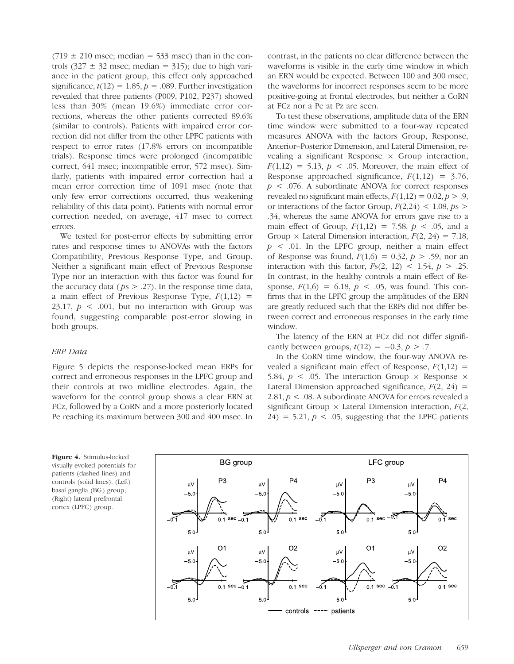$(719 \pm 210 \text{ msec})$ ; median = 533 msec) than in the controls  $(327 \pm 32 \text{ msec}; \text{median} = 315)$ ; due to high variance in the patient group, this effect only approached significance,  $t(12) = 1.85$ ,  $p = .089$ . Further investigation revealed that three patients (P009, P102, P237) showed less than 30% (mean 19.6%) immediate error corrections, whereas the other patients corrected 89.6% (similar to controls). Patients with impaired error correction did not differ from the other LPFC patients with respect to error rates (17.8% errors on incompatible trials). Response times were prolonged (incompatible correct, 641 msec; incompatible error, 572 msec). Similarly, patients with impaired error correction had a mean error correction time of 1091 msec (note that only few error corrections occurred, thus weakening reliability of this data point). Patients with normal error correction needed, on average, 417 msec to correct errors.

We tested for post-error effects by submitting error rates and response times to ANOVAs with the factors Compatibility, Previous Response Type, and Group. Neither a significant main effect of Previous Response Type nor an interaction with this factor was found for the accuracy data ( $ps > .27$ ). In the response time data, a main effect of Previous Response Type,  $F(1,12)$  = 23.17,  $p \leq 0.001$ , but no interaction with Group was found, suggesting comparable post-error slowing in both groups.

#### ERP Data

Figure 5 depicts the response-locked mean ERPs for correct and erroneous responses in the LPFC group and their controls at two midline electrodes. Again, the waveform for the control group shows a clear ERN at FCz, followed by a CoRN and a more posteriorly located Pe reaching its maximum between 300 and 400 msec. In contrast, in the patients no clear difference between the waveforms is visible in the early time window in which an ERN would be expected. Between 100 and 300 msec, the waveforms for incorrect responses seem to be more positive-going at frontal electrodes, but neither a CoRN at FCz nor a Pe at Pz are seen.

To test these observations, amplitude data of the ERN time window were submitted to a four-way repeated measures ANOVA with the factors Group, Response, Anterior–Posterior Dimension, and Lateral Dimension, revealing a significant Response  $\times$  Group interaction,  $F(1,12) = 5.13$ ,  $p < .05$ . Moreover, the main effect of Response approached significance,  $F(1,12) = 3.76$ ,  $p \leq 0.076$ . A subordinate ANOVA for correct responses revealed no significant main effects,  $F(1,12) = 0.02, p > .9$ , or interactions of the factor Group,  $F(2,24)$  < 1.08,  $ps >$ .34, whereas the same ANOVA for errors gave rise to a main effect of Group,  $F(1,12) = 7.58$ ,  $p < .05$ , and a Group  $\times$  Lateral Dimension interaction,  $F(2, 24) = 7.18$ ,  $p \leq 0.01$ . In the LPFC group, neither a main effect of Response was found,  $F(1,6) = 0.32, p > .59$ , nor an interaction with this factor,  $Fs(2, 12) < 1.54$ ,  $p > .25$ . In contrast, in the healthy controls a main effect of Response,  $F(1,6) = 6.18$ ,  $p < .05$ , was found. This confirms that in the LPFC group the amplitudes of the ERN are greatly reduced such that the ERPs did not differ between correct and erroneous responses in the early time window.

The latency of the ERN at FCz did not differ significantly between groups,  $t(12) = -0.3$ ,  $p > .7$ .

In the CoRN time window, the four-way ANOVA revealed a significant main effect of Response,  $F(1,12)$  = 5.84,  $p \leq 0.05$ . The interaction Group  $\times$  Response  $\times$ Lateral Dimension approached significance,  $F(2, 24) =$ 2.81,  $p < 0.08$ . A subordinate ANOVA for errors revealed a significant Group  $\times$  Lateral Dimension interaction,  $F(2)$ ,  $24$ ) = 5.21,  $p < .05$ , suggesting that the LPFC patients



Figure 4. Stimulus-locked visually evoked potentials for patients (dashed lines) and controls (solid lines). (Left) basal ganglia (BG) group; (Right) lateral prefrontal cortex (LPFC) group.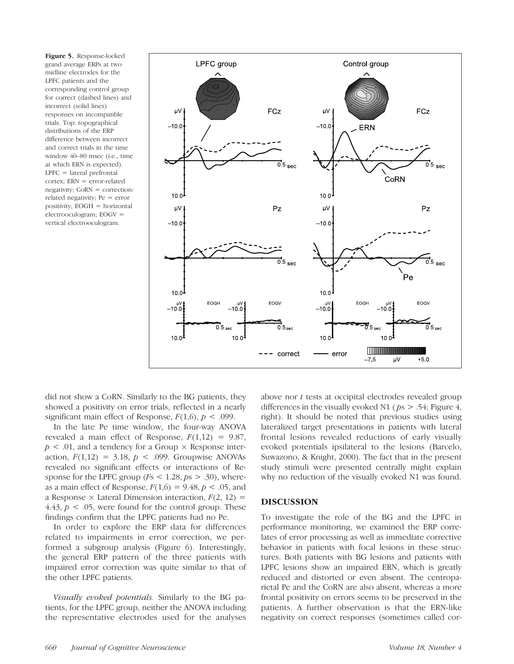Figure 5. Response-locked grand average ERPs at two midline electrodes for the LPFC patients and the corresponding control group for correct (dashed lines) and incorrect (solid lines) responses on incompatible trials. Top: topographical distributions of the ERP difference between incorrect and correct trials in the time window 40–80 msec (i.e., time at which ERN is expected).  $LPFC = lateral prefrontal$ cortex; ERN = error-related negativity; CoRN = correctionrelated negativity; Pe = error positivity; EOGH = horizontal electrooculogram; EOGV = vertical electrooculogram.



did not show a CoRN. Similarly to the BG patients, they showed a positivity on error trials, reflected in a nearly significant main effect of Response,  $F(1,6)$ ,  $p < .099$ .

In the late Pe time window, the four-way ANOVA revealed a main effect of Response,  $F(1,12) = 9.87$ ,  $p < .01$ , and a tendency for a Group  $\times$  Response interaction,  $F(1,12) = 3.18$ ,  $p < .099$ . Groupwise ANOVAs revealed no significant effects or interactions of Response for the LPFC group ( $Fs < 1.28, ps > .30$ ), whereas a main effect of Response,  $F(1,6) = 9.48$ ,  $p < .05$ , and a Response  $\times$  Lateral Dimension interaction,  $F(2, 12) =$ 4.43,  $p < 0.05$ , were found for the control group. These findings confirm that the LPFC patients had no Pe.

In order to explore the ERP data for differences related to impairments in error correction, we performed a subgroup analysis (Figure 6). Interestingly, the general ERP pattern of the three patients with impaired error correction was quite similar to that of the other LPFC patients.

Visually evoked potentials. Similarly to the BG patients, for the LPFC group, neither the ANOVA including the representative electrodes used for the analyses above nor t tests at occipital electrodes revealed group differences in the visually evoked N1 ( $ps > .54$ ; Figure 4, right). It should be noted that previous studies using lateralized target presentations in patients with lateral frontal lesions revealed reductions of early visually evoked potentials ipsilateral to the lesions (Barcelo, Suwazono, & Knight, 2000). The fact that in the present study stimuli were presented centrally might explain why no reduction of the visually evoked N1 was found.

#### DISCUSSION

To investigate the role of the BG and the LPFC in performance monitoring, we examined the ERP correlates of error processing as well as immediate corrective behavior in patients with focal lesions in these structures. Both patients with BG lesions and patients with LPFC lesions show an impaired ERN, which is greatly reduced and distorted or even absent. The centroparietal Pe and the CoRN are also absent, whereas a more frontal positivity on errors seems to be preserved in the patients. A further observation is that the ERN-like negativity on correct responses (sometimes called cor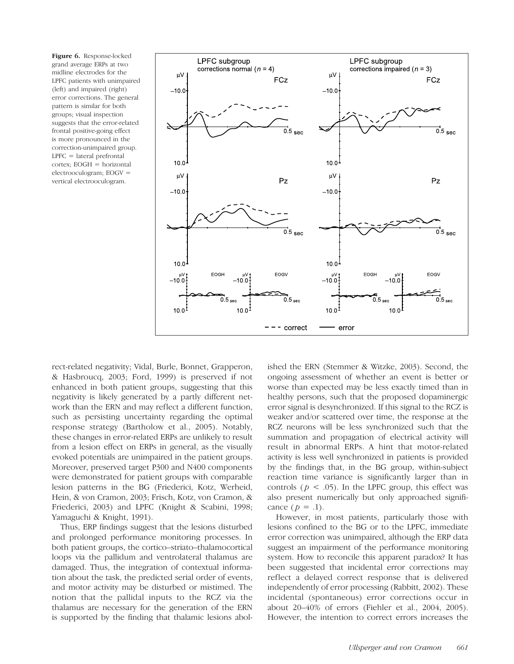Figure 6. Response-locked grand average ERPs at two midline electrodes for the LPFC patients with unimpaired (left) and impaired (right) error corrections. The general pattern is similar for both groups; visual inspection suggests that the error-related frontal positive-going effect is more pronounced in the correction-unimpaired group. LPFC = lateral prefrontal cortex; EOGH = horizontal electrooculogram; EOGV = vertical electrooculogram.



rect-related negativity; Vidal, Burle, Bonnet, Grapperon, & Hasbroucq, 2003; Ford, 1999) is preserved if not enhanced in both patient groups, suggesting that this negativity is likely generated by a partly different network than the ERN and may reflect a different function, such as persisting uncertainty regarding the optimal response strategy (Bartholow et al., 2005). Notably, these changes in error-related ERPs are unlikely to result from a lesion effect on ERPs in general, as the visually evoked potentials are unimpaired in the patient groups. Moreover, preserved target P300 and N400 components were demonstrated for patient groups with comparable lesion patterns in the BG (Friederici, Kotz, Werheid, Hein, & von Cramon, 2003; Frisch, Kotz, von Cramon, & Friederici, 2003) and LPFC (Knight & Scabini, 1998; Yamaguchi & Knight, 1991).

Thus, ERP findings suggest that the lesions disturbed and prolonged performance monitoring processes. In both patient groups, the cortico–striato–thalamocortical loops via the pallidum and ventrolateral thalamus are damaged. Thus, the integration of contextual information about the task, the predicted serial order of events, and motor activity may be disturbed or mistimed. The notion that the pallidal inputs to the RCZ via the thalamus are necessary for the generation of the ERN is supported by the finding that thalamic lesions abolished the ERN (Stemmer & Witzke, 2003). Second, the ongoing assessment of whether an event is better or worse than expected may be less exactly timed than in healthy persons, such that the proposed dopaminergic error signal is desynchronized. If this signal to the RCZ is weaker and/or scattered over time, the response at the RCZ neurons will be less synchronized such that the summation and propagation of electrical activity will result in abnormal ERPs. A hint that motor-related activity is less well synchronized in patients is provided by the findings that, in the BG group, within-subject reaction time variance is significantly larger than in controls ( $p < .05$ ). In the LPFC group, this effect was also present numerically but only approached significance  $(p = .1)$ .

However, in most patients, particularly those with lesions confined to the BG or to the LPFC, immediate error correction was unimpaired, although the ERP data suggest an impairment of the performance monitoring system. How to reconcile this apparent paradox? It has been suggested that incidental error corrections may reflect a delayed correct response that is delivered independently of error processing (Rabbitt, 2002). These incidental (spontaneous) error corrections occur in about 20–40% of errors (Fiehler et al., 2004, 2005). However, the intention to correct errors increases the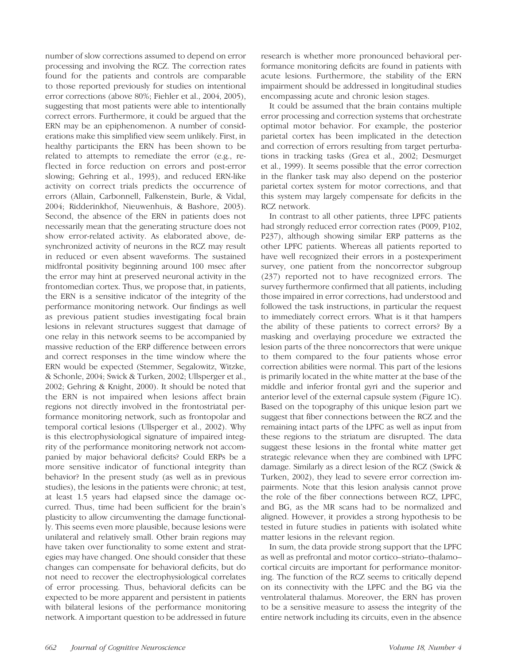number of slow corrections assumed to depend on error processing and involving the RCZ. The correction rates found for the patients and controls are comparable to those reported previously for studies on intentional error corrections (above 80%; Fiehler et al., 2004, 2005), suggesting that most patients were able to intentionally correct errors. Furthermore, it could be argued that the ERN may be an epiphenomenon. A number of considerations make this simplified view seem unlikely. First, in healthy participants the ERN has been shown to be related to attempts to remediate the error (e.g., reflected in force reduction on errors and post-error slowing; Gehring et al., 1993), and reduced ERN-like activity on correct trials predicts the occurrence of errors (Allain, Carbonnell, Falkenstein, Burle, & Vidal, 2004; Ridderinkhof, Nieuwenhuis, & Bashore, 2003). Second, the absence of the ERN in patients does not necessarily mean that the generating structure does not show error-related activity. As elaborated above, desynchronized activity of neurons in the RCZ may result in reduced or even absent waveforms. The sustained midfrontal positivity beginning around 100 msec after the error may hint at preserved neuronal activity in the frontomedian cortex. Thus, we propose that, in patients, the ERN is a sensitive indicator of the integrity of the performance monitoring network. Our findings as well as previous patient studies investigating focal brain lesions in relevant structures suggest that damage of one relay in this network seems to be accompanied by massive reduction of the ERP difference between errors and correct responses in the time window where the ERN would be expected (Stemmer, Segalowitz, Witzke, & Schonle, 2004; Swick & Turken, 2002; Ullsperger et al., 2002; Gehring & Knight, 2000). It should be noted that the ERN is not impaired when lesions affect brain regions not directly involved in the frontostriatal performance monitoring network, such as frontopolar and temporal cortical lesions (Ullsperger et al., 2002). Why is this electrophysiological signature of impaired integrity of the performance monitoring network not accompanied by major behavioral deficits? Could ERPs be a more sensitive indicator of functional integrity than behavior? In the present study (as well as in previous studies), the lesions in the patients were chronic; at test, at least 1.5 years had elapsed since the damage occurred. Thus, time had been sufficient for the brain's plasticity to allow circumventing the damage functionally. This seems even more plausible, because lesions were unilateral and relatively small. Other brain regions may have taken over functionality to some extent and strategies may have changed. One should consider that these changes can compensate for behavioral deficits, but do not need to recover the electrophysiological correlates of error processing. Thus, behavioral deficits can be expected to be more apparent and persistent in patients with bilateral lesions of the performance monitoring network. A important question to be addressed in future research is whether more pronounced behavioral performance monitoring deficits are found in patients with acute lesions. Furthermore, the stability of the ERN impairment should be addressed in longitudinal studies encompassing acute and chronic lesion stages.

It could be assumed that the brain contains multiple error processing and correction systems that orchestrate optimal motor behavior. For example, the posterior parietal cortex has been implicated in the detection and correction of errors resulting from target perturbations in tracking tasks (Grea et al., 2002; Desmurget et al., 1999). It seems possible that the error correction in the flanker task may also depend on the posterior parietal cortex system for motor corrections, and that this system may largely compensate for deficits in the RCZ network.

In contrast to all other patients, three LPFC patients had strongly reduced error correction rates (P009, P102, P237), although showing similar ERP patterns as the other LPFC patients. Whereas all patients reported to have well recognized their errors in a postexperiment survey, one patient from the noncorrector subgroup (237) reported not to have recognized errors. The survey furthermore confirmed that all patients, including those impaired in error corrections, had understood and followed the task instructions, in particular the request to immediately correct errors. What is it that hampers the ability of these patients to correct errors? By a masking and overlaying procedure we extracted the lesion parts of the three noncorrectors that were unique to them compared to the four patients whose error correction abilities were normal. This part of the lesions is primarily located in the white matter at the base of the middle and inferior frontal gyri and the superior and anterior level of the external capsule system (Figure 1C). Based on the topography of this unique lesion part we suggest that fiber connections between the RCZ and the remaining intact parts of the LPFC as well as input from these regions to the striatum are disrupted. The data suggest these lesions in the frontal white matter get strategic relevance when they are combined with LPFC damage. Similarly as a direct lesion of the RCZ (Swick & Turken, 2002), they lead to severe error correction impairments. Note that this lesion analysis cannot prove the role of the fiber connections between RCZ, LPFC, and BG, as the MR scans had to be normalized and aligned. However, it provides a strong hypothesis to be tested in future studies in patients with isolated white matter lesions in the relevant region.

In sum, the data provide strong support that the LPFC as well as prefrontal and motor cortico–striato–thalamo– cortical circuits are important for performance monitoring. The function of the RCZ seems to critically depend on its connectivity with the LPFC and the BG via the ventrolateral thalamus. Moreover, the ERN has proven to be a sensitive measure to assess the integrity of the entire network including its circuits, even in the absence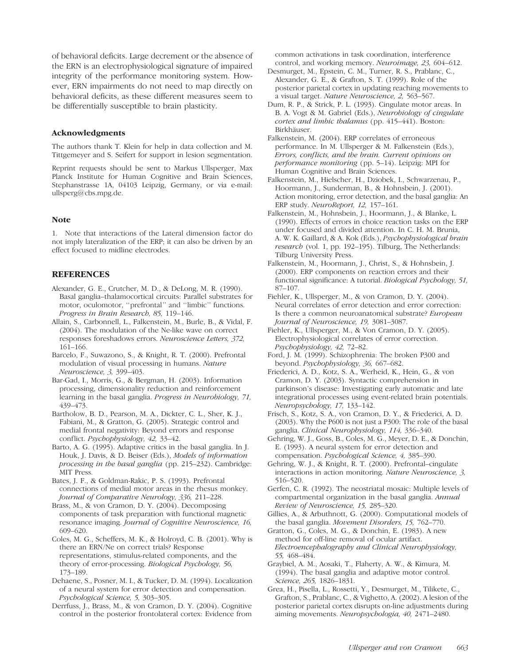of behavioral deficits. Large decrement or the absence of the ERN is an electrophysiological signature of impaired integrity of the performance monitoring system. However, ERN impairments do not need to map directly on behavioral deficits, as these different measures seem to be differentially susceptible to brain plasticity.

# Acknowledgments

The authors thank T. Klein for help in data collection and M. Tittgemeyer and S. Seifert for support in lesion segmentation.

Reprint requests should be sent to Markus Ullsperger, Max Planck Institute for Human Cognitive and Brain Sciences, Stephanstrasse 1A, 04103 Leipzig, Germany, or via e-mail: ullsperg@cbs.mpg.de.

# Note

1. Note that interactions of the Lateral dimension factor do not imply lateralization of the ERP; it can also be driven by an effect focused to midline electrodes.

# **REFERENCES**

- Alexander, G. E., Crutcher, M. D., & DeLong, M. R. (1990). Basal ganglia–thalamocortical circuits: Parallel substrates for motor, oculomotor, ''prefrontal'' and ''limbic'' functions. Progress in Brain Research, 85, 119–146.
- Allain, S., Carbonnell, L., Falkenstein, M., Burle, B., & Vidal, F. (2004). The modulation of the Ne-like wave on correct responses foreshadows errors. Neuroscience Letters, 372, 161–166.
- Barcelo, F., Suwazono, S., & Knight, R. T. (2000). Prefrontal modulation of visual processing in humans. Nature Neuroscience, 3, 399–403.
- Bar-Gad, I., Morris, G., & Bergman, H. (2003). Information processing, dimensionality reduction and reinforcement learning in the basal ganglia. Progress in Neurobiology, 71, 439–473.
- Bartholow, B. D., Pearson, M. A., Dickter, C. L., Sher, K. J., Fabiani, M., & Gratton, G. (2005). Strategic control and medial frontal negativity: Beyond errors and response conflict. Psychophysiology, 42, 33–42.
- Barto, A. G. (1995). Adaptive critics in the basal ganglia. In J. Houk, J. Davis, & D. Beiser (Eds.), Models of information processing in the basal ganglia (pp. 215–232). Cambridge: MIT Press.
- Bates, J. F., & Goldman-Rakic, P. S. (1993). Prefrontal connections of medial motor areas in the rhesus monkey. Journal of Comparative Neurology, 336, 211–228.
- Brass, M., & von Cramon, D. Y. (2004). Decomposing components of task preparation with functional magnetic resonance imaging. Journal of Cognitive Neuroscience, 16, 609–620.
- Coles, M. G., Scheffers, M. K., & Holroyd, C. B. (2001). Why is there an ERN/Ne on correct trials? Response representations, stimulus-related components, and the theory of error-processing. Biological Psychology, 56, 173–189.
- Dehaene, S., Posner, M. I., & Tucker, D. M. (1994). Localization of a neural system for error detection and compensation. Psychological Science, 5, 303–305.
- Derrfuss, J., Brass, M., & von Cramon, D. Y. (2004). Cognitive control in the posterior frontolateral cortex: Evidence from

common activations in task coordination, interference control, and working memory. Neuroimage, 23, 604–612.

- Desmurget, M., Epstein, C. M., Turner, R. S., Prablanc, C., Alexander, G. E., & Grafton, S. T. (1999). Role of the posterior parietal cortex in updating reaching movements to a visual target. Nature Neuroscience, 2, 563–567.
- Dum, R. P., & Strick, P. L. (1993). Cingulate motor areas. In B. A. Vogt & M. Gabriel (Eds.), Neurobiology of cingulate cortex and limbic thalamus (pp. 415–441). Boston: Birkhäuser.
- Falkenstein, M. (2004). ERP correlates of erroneous performance. In M. Ullsperger & M. Falkenstein (Eds.), Errors, conflicts, and the brain. Current opinions on performance monitoring (pp. 5–14). Leipzig: MPI for Human Cognitive and Brain Sciences.
- Falkenstein, M., Hielscher, H., Dziobek, I., Schwarzenau, P., Hoormann, J., Sunderman, B., & Hohnsbein, J. (2001). Action monitoring, error detection, and the basal ganglia: An ERP study. NeuroReport, 12, 157–161.
- Falkenstein, M., Hohnsbein, J., Hoormann, J., & Blanke, L. (1990). Effects of errors in choice reaction tasks on the ERP under focused and divided attention. In C. H. M. Brunia, A. W. K. Gaillard, & A. Kok (Eds.), Psychophysiological brain research (vol. 1, pp. 192–195). Tilburg, The Netherlands: Tilburg University Press.
- Falkenstein, M., Hoormann, J., Christ, S., & Hohnsbein, J. (2000). ERP components on reaction errors and their functional significance: A tutorial. Biological Psychology, 51, 87–107.
- Fiehler, K., Ullsperger, M., & von Cramon, D. Y. (2004). Neural correlates of error detection and error correction: Is there a common neuroanatomical substrate? European Journal of Neuroscience, 19, 3081–3087.
- Fiehler, K., Ullsperger, M., & Von Cramon, D. Y. (2005). Electrophysiological correlates of error correction. Psychophysiology, 42, 72–82.
- Ford, J. M. (1999). Schizophrenia: The broken P300 and beyond. Psychophysiology, 36, 667–682.
- Friederici, A. D., Kotz, S. A., Werheid, K., Hein, G., & von Cramon, D. Y. (2003). Syntactic comprehension in parkinson's disease: Investigating early automatic and late integrational processes using event-related brain potentials. Neuropsychology, 17, 133–142.
- Frisch, S., Kotz, S. A., von Cramon, D. Y., & Friederici, A. D. (2003). Why the P600 is not just a P300: The role of the basal ganglia. Clinical Neurophysiology, 114, 336–340.
- Gehring, W. J., Goss, B., Coles, M. G., Meyer, D. E., & Donchin, E. (1993). A neural system for error detection and compensation. Psychological Science, 4, 385–390.
- Gehring, W. J., & Knight, R. T. (2000). Prefrontal–cingulate interactions in action monitoring. Nature Neuroscience, 3, 516–520.
- Gerfen, C. R. (1992). The neostriatal mosaic: Multiple levels of compartmental organization in the basal ganglia. Annual Review of Neuroscience, 15, 285–320.
- Gillies, A., & Arbuthnott, G. (2000). Computational models of the basal ganglia. Movement Disorders, 15, 762–770.
- Gratton, G., Coles, M. G., & Donchin, E. (1983). A new method for off-line removal of ocular artifact. Electroencephalography and Clinical Neurophysiology, 55, 468–484.
- Graybiel, A. M., Aosaki, T., Flaherty, A. W., & Kimura, M. (1994). The basal ganglia and adaptive motor control. Science, 265, 1826–1831.
- Grea, H., Pisella, L., Rossetti, Y., Desmurget, M., Tilikete, C., Grafton, S., Prablanc, C., & Vighetto, A. (2002). A lesion of the posterior parietal cortex disrupts on-line adjustments during aiming movements. Neuropsychologia, 40, 2471–2480.